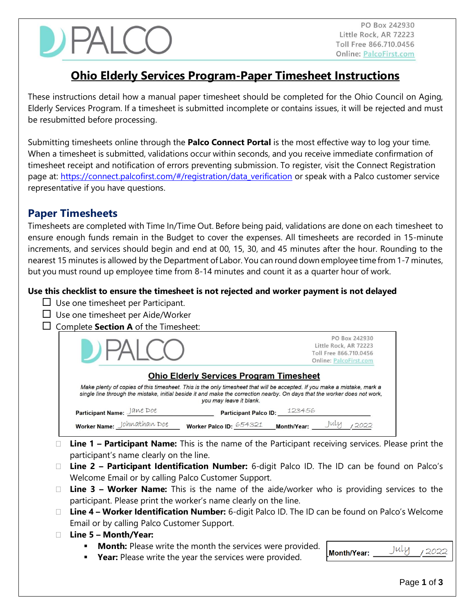PO Box 242930 Little Rock, AR 72223 Toll Free 866.710.0456 **Online: PalcoFirst.com** 

# **Ohio Elderly Services Program-Paper Timesheet Instructions**

These instructions detail how a manual paper timesheet should be completed for the Ohio Council on Aging, Elderly Services Program. If a timesheet is submitted incomplete or contains issues, it will be rejected and must be resubmitted before processing.

Submitting timesheets online through the **Palco Connect Portal** is the most effective way to log your time. When a timesheet is submitted, validations occur within seconds, and you receive immediate confirmation of timesheet receipt and notification of errors preventing submission. To register, visit the Connect Registration page at: https://connect.palcofirst.com/#/registration/data\_verification or speak with a Palco customer service representative if you have questions.

## **Paper Timesheets**

Timesheets are completed with Time In/Time Out. Before being paid, validations are done on each timesheet to ensure enough funds remain in the Budget to cover the expenses. All timesheets are recorded in 15-minute increments, and services should begin and end at 00, 15, 30, and 45 minutes after the hour. Rounding to the nearest 15 minutes is allowed by the Department of Labor. You can round down employee time from 1-7 minutes, but you must round up employee time from 8-14 minutes and count it as a quarter hour of work.

### **Use this checklist to ensure the timesheet is not rejected and worker payment is not delayed**

- $\Box$  Use one timesheet per Participant.
- $\Box$  Use one timesheet per Aide/Worker
- $\Box$  Complete **Section A** of the Timesheet:

| DFAIC                                                                                                                                                                                                                                                                                                                              | PO Box 242930<br>Little Rock, AR 72223<br>Toll Free 866,710,0456<br><b>Online: PalcoFirst.com</b> |  |  |  |
|------------------------------------------------------------------------------------------------------------------------------------------------------------------------------------------------------------------------------------------------------------------------------------------------------------------------------------|---------------------------------------------------------------------------------------------------|--|--|--|
| <b>Ohio Elderly Services Program Timesheet</b><br>Make plenty of copies of this timesheet. This is the only timesheet that will be accepted. If you make a mistake, mark a<br>single line through the mistake, initial beside it and make the correction nearby. On days that the worker does not work,<br>you may leave it blank. |                                                                                                   |  |  |  |
| Participant Name: Jane Doe                                                                                                                                                                                                                                                                                                         | Participant Palco ID: 123456                                                                      |  |  |  |
| Worker Name: Johnathan Doe                                                                                                                                                                                                                                                                                                         | Month/Year:<br>Worker Palco ID: 654321                                                            |  |  |  |

- **Line 1 – Participant Name:** This is the name of the Participant receiving services. Please print the participant's name clearly on the line.
- **Line 2 – Participant Identification Number:** 6-digit Palco ID. The ID can be found on Palco's Welcome Email or by calling Palco Customer Support.
- **Line 3 – Worker Name:** This is the name of the aide/worker who is providing services to the participant. Please print the worker's name clearly on the line.
- **Line 4 – Worker Identification Number:** 6-digit Palco ID. The ID can be found on Palco's Welcome Email or by calling Palco Customer Support.
- **Line 5 – Month/Year:**
	- **Month:** Please write the month the services were provided.
- July 2022 **Month/Year:**
- **Year:** Please write the year the services were provided.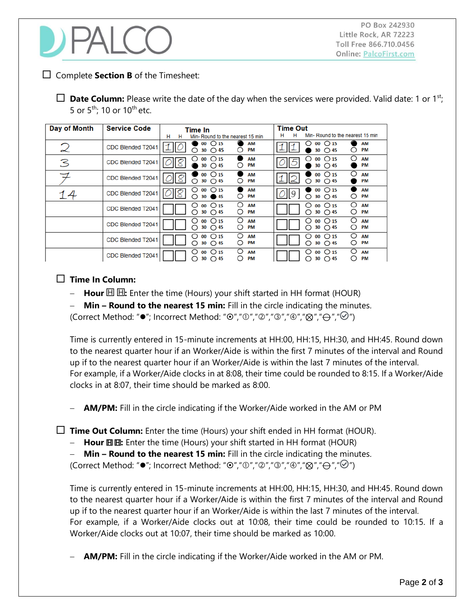

PO Box 242930 Little Rock, AR 72223 Toll Free 866.710.0456 **Online: PalcoFirst.com** 

#### $\Box$  Complete **Section B** of the Timesheet:

 $\Box$  **Date Column:** Please write the date of the day when the services were provided. Valid date: 1 or 1<sup>st</sup>; 5 or  $5^{\text{th}}$ ; 10 or 10<sup>th</sup> etc.

| Day of Month               | <b>Service Code</b>      | Time In                                                                 | <b>Time Out</b>                                                                     |
|----------------------------|--------------------------|-------------------------------------------------------------------------|-------------------------------------------------------------------------------------|
|                            |                          | н<br>Min-Round to the nearest 15 min<br>н                               | н<br>Min-Round to the nearest 15 min<br>н                                           |
| $\boldsymbol{\mathcal{Z}}$ | CDC Blended T2041        | $00 \bigcirc 15$<br>AM<br>30 $\bigcirc$ 45<br>PM<br>∩<br>O              | $00 \bigcirc 15$<br>AM<br>PM<br>30<br>◯ 45                                          |
| 3                          | CDC Blended T2041        | $00 \bigcirc 15$<br>AM<br>O<br>PM<br>$\bigcirc$ 45<br>30                | ◯<br>$00 \bigcirc 15$<br>AM<br>Ο<br>PM<br>$\bigcirc$ 45<br>30                       |
|                            | CDC Blended T2041        | $00 \cup 15$<br><b>AM</b><br>∩<br>30 $\bigcirc$ 45<br>PM<br>O           | O<br>$00 \cup 15$<br>AM<br>∩<br>30 $\bigcirc$ 45<br>PM                              |
| 14                         | <b>CDC Blended T2041</b> | $00 \bigcirc 15$<br>AM<br>( )<br>PM<br>∩<br>O<br><b>145</b><br>30       | $00 \bigcirc 15$<br>AM<br>9<br>∩<br>PM<br>30 $\bigcirc$ 45<br>O                     |
|                            | <b>CDC Blended T2041</b> | O<br>$00 \cup 15$<br>AM<br>O<br>∩<br>О<br>30 $\bigcirc$ 45<br><b>PM</b> | O<br>$00 \bigcirc 15$<br>AM<br>O<br>⌒<br>30 $\bigcirc$ 45<br>O<br><b>PM</b>         |
|                            | <b>CDC Blended T2041</b> | O<br>$00 \bigcirc 15$<br>AM<br>O<br>О<br>∩<br>30 $\bigcirc$ 45<br>PM    | ◯<br>$\bigcirc$ 15<br>00<br>AM<br>( )<br>∩<br>30<br>O<br><b>PM</b><br>$\bigcirc$ 45 |
|                            | CDC Blended T2041        | ∩<br>$00 \cap 15$<br>AM<br>O<br>О<br>PM<br>30<br>$\bigcirc$ 45          | ∩<br>$00 \bigcirc 15$<br>AM<br>O<br>O<br>PM<br>30<br>$\bigcirc$ 45                  |
|                            | CDC Blended T2041        | O<br>$00 \bigcirc 15$<br>AM<br>U<br>∩<br>PM<br>$O$ 45<br>30             | ∩<br>O <sub>15</sub><br>AM<br>00<br>O<br>PM<br>30<br>$\bigcirc$ 45                  |

#### **Time In Column:**

- **Hour E II**: Enter the time (Hours) your shift started in HH format (HOUR)
- − **Min – Round to the nearest 15 min:** Fill in the circle indicating the minutes.

(Correct Method: " $\bullet$ "; Incorrect Method: " $\bullet$ "," $\circ$ "," $\circ$ "," $\circ$ "," $\circ$ "," $\bullet$ "," $\leftrightarrow$ "," $\bullet$ ")

Time is currently entered in 15-minute increments at HH:00, HH:15, HH:30, and HH:45. Round down to the nearest quarter hour if an Worker/Aide is within the first 7 minutes of the interval and Round up if to the nearest quarter hour if an Worker/Aide is within the last 7 minutes of the interval. For example, if a Worker/Aide clocks in at 8:08, their time could be rounded to 8:15. If a Worker/Aide clocks in at 8:07, their time should be marked as 8:00.

**AM/PM:** Fill in the circle indicating if the Worker/Aide worked in the AM or PM

**Time Out Column:** Enter the time (Hours) your shift ended in HH format (HOUR).

- **Hour 回⊞:** Enter the time (Hours) your shift started in HH format (HOUR)
- − **Min – Round to the nearest 15 min:** Fill in the circle indicating the minutes.

(Correct Method: " $\bullet$ "; Incorrect Method: " $\bullet$ "," $\circ$ "," $\circ$ "," $\circ$ "," $\circ$ "," $\bullet$ "," $\bullet$ "," $\ominus$ "," $\circ$ ")

Time is currently entered in 15-minute increments at HH:00, HH:15, HH:30, and HH:45. Round down to the nearest quarter hour if a Worker/Aide is within the first 7 minutes of the interval and Round up if to the nearest quarter hour if an Worker/Aide is within the last 7 minutes of the interval. For example, if a Worker/Aide clocks out at 10:08, their time could be rounded to 10:15. If a Worker/Aide clocks out at 10:07, their time should be marked as 10:00.

− **AM/PM:** Fill in the circle indicating if the Worker/Aide worked in the AM or PM.